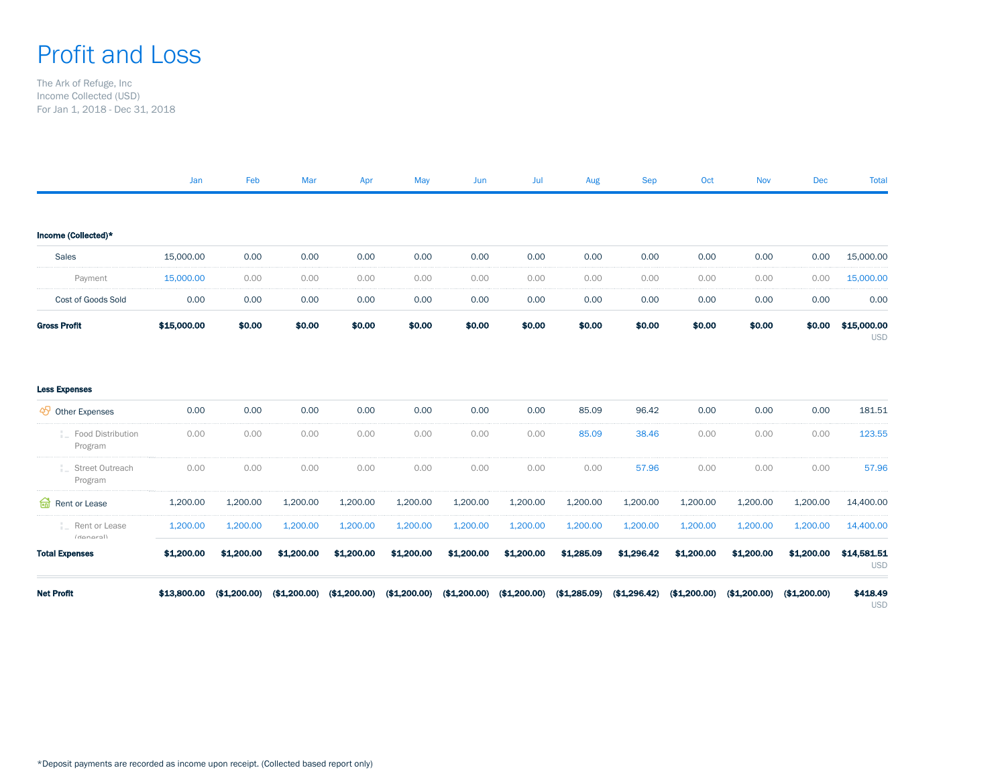## Profit and Loss

The Ark of Refuge, Inc Income Collected (USD) For Jan 1, 2018 - Dec 31, 2018

|                                  | Jan         | Feb          | Mar          | Apr          | May          | Jun          | Jul          | Aug          | <b>Sep</b>   | Oct          | <b>Nov</b>   | Dec          | <b>Total</b>              |
|----------------------------------|-------------|--------------|--------------|--------------|--------------|--------------|--------------|--------------|--------------|--------------|--------------|--------------|---------------------------|
|                                  |             |              |              |              |              |              |              |              |              |              |              |              |                           |
| Income (Collected)*              |             |              |              |              |              |              |              |              |              |              |              |              |                           |
| Sales                            | 15,000.00   | 0.00         | 0.00         | 0.00         | 0.00         | 0.00         | 0.00         | 0.00         | 0.00         | 0.00         | 0.00         | 0.00         | 15,000.00                 |
| Payment                          | 15,000.00   | 0.00         | 0.00         | 0.00         | 0.00         | 0.00         | 0.00         | 0.00         | 0.00         | 0.00         | 0.00         | 0.00         | 15,000.00                 |
| Cost of Goods Sold               | 0.00        | 0.00         | 0.00         | 0.00         | 0.00         | 0.00         | 0.00         | 0.00         | 0.00         | 0.00         | 0.00         | 0.00         | 0.00                      |
| <b>Gross Profit</b>              | \$15,000.00 | \$0.00       | \$0.00       | \$0.00       | \$0.00       | \$0.00       | \$0.00       | \$0.00       | \$0.00       | \$0.00       | \$0.00       | \$0.00       | \$15,000.00<br><b>USD</b> |
| <b>Less Expenses</b>             |             |              |              |              |              |              |              |              |              |              |              |              |                           |
| → Other Expenses                 | 0.00        | 0.00         | 0.00         | 0.00         | 0.00         | 0.00         | 0.00         | 85.09        | 96.42        | 0.00         | 0.00         | 0.00         | 181.51                    |
| - Food Distribution<br>Program   | 0.00        | 0.00         | 0.00         | 0.00         | 0.00         | 0.00         | 0.00         | 85.09        | 38.46        | 0.00         | 0.00         | 0.00         | 123.55                    |
| Street Outreach<br>÷.<br>Program | 0.00        | 0.00         | 0.00         | 0.00         | 0.00         | 0.00         | 0.00         | 0.00         | 57.96        | 0.00         | 0.00         | 0.00         | 57.96                     |
| Rent or Lease                    | 1,200.00    | 1,200.00     | 1,200.00     | 1,200.00     | 1,200.00     | 1,200.00     | 1,200.00     | 1,200.00     | 1,200.00     | 1,200.00     | 1,200.00     | 1,200.00     | 14,400.00                 |
| Rent or Lease<br>(manarall)      | 1,200.00    | 1,200.00     | 1,200.00     | 1,200.00     | 1,200.00     | 1,200.00     | 1,200.00     | 1,200.00     | 1,200.00     | 1,200.00     | 1,200.00     | 1,200.00     | 14,400.00                 |
| <b>Total Expenses</b>            | \$1,200.00  | \$1,200.00   | \$1,200.00   | \$1,200.00   | \$1,200.00   | \$1,200.00   | \$1,200.00   | \$1,285.09   | \$1,296.42   | \$1,200.00   | \$1,200.00   | \$1,200.00   | \$14,581.51<br><b>USD</b> |
| <b>Net Profit</b>                | \$13,800.00 | (\$1,200.00) | (\$1,200.00) | (\$1,200.00) | (\$1,200.00) | (\$1,200.00) | (\$1,200.00) | (\$1,285.09) | (\$1,296.42) | (\$1,200.00) | (\$1,200.00) | (\$1,200.00) | \$418.49<br><b>USD</b>    |